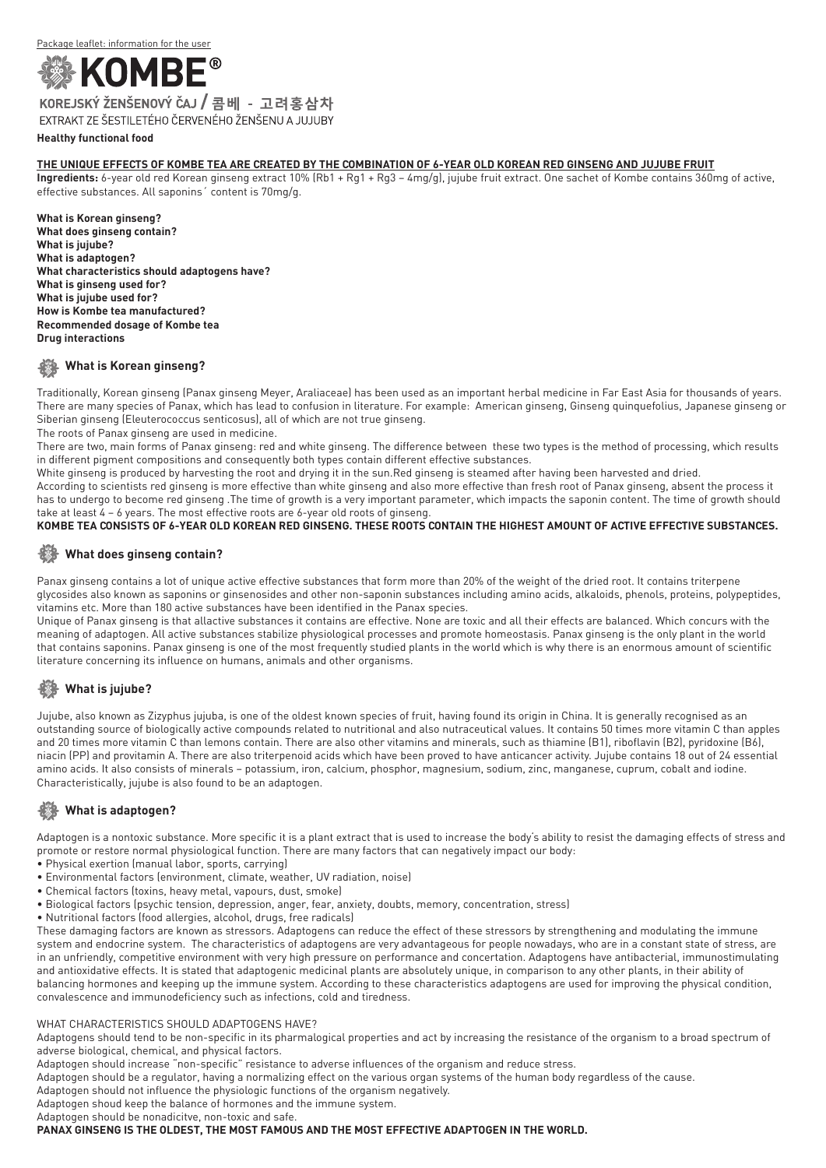

EXTRAKT ZE ŠESTILETÉHO ČERVENÉHO ŽENŠENU A JUJUBY

#### **Healthy functional food**

#### **The unique effects of Kombe tea are created by the combination of 6-year old Korean red ginseng and jujube fruit**

**Ingredients:** 6-year old red Korean ginseng extract 10% (Rb1 + Rg1 + Rg3 – 4mg/g), jujube fruit extract. One sachet of Kombe contains 360mg of active, effective substances. All saponins´ content is 70mg/g.

**What is Korean ginseng? What does ginseng contain? What is jujube? What is adaptogen? What characteristics should adaptogens have? What is ginseng used for? What is jujube used for? How is Kombe tea manufactured? Recommended dosage of Kombe tea Drug interactions**

### **What is Korean ginseng?**

Traditionally, Korean ginseng (Panax ginseng Meyer, Araliaceae) has been used as an important herbal medicine in Far East Asia for thousands of years. There are many species of Panax, which has lead to confusion in literature. For example: American ginseng, Ginseng quinquefolius, Japanese ginseng or Siberian ginseng (Eleuterococcus senticosus), all of which are not true ginseng.

The roots of Panax ginseng are used in medicine.

There are two, main forms of Panax ginseng: red and white ginseng. The difference between these two types is the method of processing, which results in different pigment compositions and consequently both types contain different effective substances.

White ginseng is produced by harvesting the root and drying it in the sun.Red ginseng is steamed after having been harvested and dried.

According to scientists red ginseng is more effective than white ginseng and also more effective than fresh root of Panax ginseng, absent the process it has to undergo to become red ginseng .The time of growth is a very important parameter, which impacts the saponin content. The time of growth should take at least 4 – 6 years. The most effective roots are 6-year old roots of ginseng.

#### **Kombe tea consists of 6-year old Korean red ginseng. These roots contain the highest amount of active effective substances.**

### **What does ginseng contain?**

Panax ginseng contains a lot of unique active effective substances that form more than 20% of the weight of the dried root. It contains triterpene glycosides also known as saponins or ginsenosides and other non-saponin substances including amino acids, alkaloids, phenols, proteins, polypeptides, vitamins etc. More than 180 active substances have been identified in the Panax species.

Unique of Panax ginseng is that allactive substances it contains are effective. None are toxic and all their effects are balanced. Which concurs with the meaning of adaptogen. All active substances stabilize physiological processes and promote homeostasis. Panax ginseng is the only plant in the world that contains saponins. Panax ginseng is one of the most frequently studied plants in the world which is why there is an enormous amount of scientific literature concerning its influence on humans, animals and other organisms.

# **What is jujube?**

Jujube, also known as Zizyphus jujuba, is one of the oldest known species of fruit, having found its origin in China. It is generally recognised as an outstanding source of biologically active compounds related to nutritional and also nutraceutical values. It contains 50 times more vitamin C than apples and 20 times more vitamin C than lemons contain. There are also other vitamins and minerals, such as thiamine (B1), riboflavin (B2), pyridoxine (B6), niacin (PP) and provitamin A. There are also triterpenoid acids which have been proved to have anticancer activity. Jujube contains 18 out of 24 essential amino acids. It also consists of minerals – potassium, iron, calcium, phosphor, magnesium, sodium, zinc, manganese, cuprum, cobalt and iodine. Characteristically, jujube is also found to be an adaptogen.

# **What is adaptogen?**

Adaptogen is a nontoxic substance. More specific it is a plant extract that is used to increase the body's ability to resist the damaging effects of stress and promote or restore normal physiological function. There are many factors that can negatively impact our body:

- Physical exertion (manual labor, sports, carrying)
- Environmental factors (environment, climate, weather, UV radiation, noise)
- Chemical factors (toxins, heavy metal, vapours, dust, smoke)
- Biological factors (psychic tension, depression, anger, fear, anxiety, doubts, memory, concentration, stress)
- Nutritional factors (food allergies, alcohol, drugs, free radicals)

These damaging factors are known as stressors. Adaptogens can reduce the effect of these stressors by strengthening and modulating the immune system and endocrine system. The characteristics of adaptogens are very advantageous for people nowadays, who are in a constant state of stress, are in an unfriendly, competitive environment with very high pressure on performance and concertation. Adaptogens have antibacterial, immunostimulating and antioxidative effects. It is stated that adaptogenic medicinal plants are absolutely unique, in comparison to any other plants, in their ability of balancing hormones and keeping up the immune system. According to these characteristics adaptogens are used for improving the physical condition, convalescence and immunodeficiency such as infections, cold and tiredness.

#### WHAT CHARACTERISTICS SHOULD ADAPTOGENS HAVE?

Adaptogens should tend to be non-specific in its pharmalogical properties and act by increasing the resistance of the organism to a broad spectrum of adverse biological, chemical, and physical factors.

Adaptogen should increase "non-specific" resistance to adverse influences of the organism and reduce stress.

Adaptogen should be a regulator, having a normalizing effect on the various organ systems of the human body regardless of the cause.

Adaptogen should not influence the physiologic functions of the organism negatively.

Adaptogen shoud keep the balance of hormones and the immune system.

Adaptogen should be nonadicitve, non-toxic and safe.

**Panax ginseng is the oldest, the most famous and the most effective adaptogen in the world.**